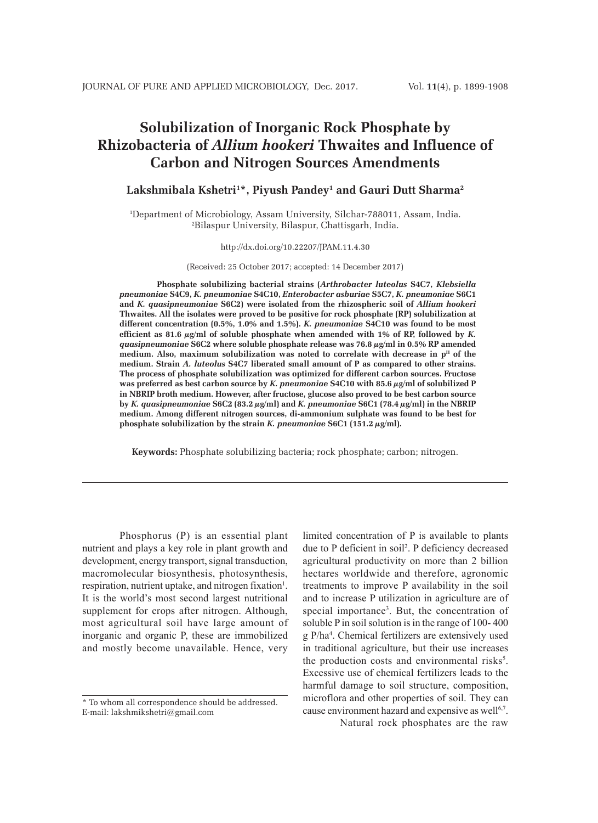# **Solubilization of Inorganic Rock Phosphate by Rhizobacteria of** *Allium hookeri* **Thwaites and Influence of Carbon and Nitrogen Sources Amendments**

## **Lakshmibala Kshetri1 \*, Piyush Pandey1 and Gauri Dutt Sharma2**

1 Department of Microbiology, Assam University, Silchar-788011, Assam, India. 2 Bilaspur University, Bilaspur, Chattisgarh, India.

#### http://dx.doi.org/10.22207/JPAM.11.4.30

(Received: 25 October 2017; accepted: 14 December 2017)

**Phosphate solubilizing bacterial strains (***Arthrobacter luteolus* **S4C7,** *Klebsiella pneumoniae* **S4C9,** *K. pneumoniae* **S4C10,** *Enterobacter asburiae* **S5C7,** *K. pneumoniae* **S6C1 and** *K. quasipneumoniae* **S6C2) were isolated from the rhizospheric soil of** *Allium hookeri* **Thwaites. All the isolates were proved to be positive for rock phosphate (RP) solubilization at different concentration (0.5%, 1.0% and 1.5%).** *K. pneumoniae* **S4C10 was found to be most**  efficient as 81.6  $\mu$ g/ml of soluble phosphate when amended with 1% of RP, followed by *K*. *quasipneumoniae* **S6C2 where soluble phosphate release was 76.8 µg/ml in 0.5% RP amended**  medium. Also, maximum solubilization was noted to correlate with decrease in p<sup>H</sup> of the **medium. Strain** *A. luteolus* **S4C7 liberated small amount of P as compared to other strains. The process of phosphate solubilization was optimized for different carbon sources. Fructose was preferred as best carbon source by** *K. pneumoniae* **S4C10 with 85.6 µg/ml of solubilized P in NBRIP broth medium. However, after fructose, glucose also proved to be best carbon source by** *K. quasipneumoniae* **S6C2 (83.2 µg/ml) and** *K. pneumoniae* **S6C1 (78.4 µg/ml) in the NBRIP medium. Among different nitrogen sources, di-ammonium sulphate was found to be best for phosphate solubilization by the strain** *K. pneumoniae* **S6C1 (151.2 µg/ml).**

**Keywords:** Phosphate solubilizing bacteria; rock phosphate; carbon; nitrogen.

Phosphorus (P) is an essential plant nutrient and plays a key role in plant growth and development, energy transport, signal transduction, macromolecular biosynthesis, photosynthesis, respiration, nutrient uptake, and nitrogen fixation<sup>1</sup>. It is the world's most second largest nutritional supplement for crops after nitrogen. Although, most agricultural soil have large amount of inorganic and organic P, these are immobilized and mostly become unavailable. Hence, very

limited concentration of P is available to plants due to P deficient in soil2 . P deficiency decreased agricultural productivity on more than 2 billion hectares worldwide and therefore, agronomic treatments to improve P availability in the soil and to increase P utilization in agriculture are of special importance<sup>3</sup>. But, the concentration of soluble P in soil solution is in the range of 100- 400 g P/ha4 . Chemical fertilizers are extensively used in traditional agriculture, but their use increases the production costs and environmental risks<sup>5</sup>. Excessive use of chemical fertilizers leads to the harmful damage to soil structure, composition, microflora and other properties of soil. They can cause environment hazard and expensive as well<sup>6,7</sup>.

Natural rock phosphates are the raw

<sup>\*</sup> To whom all correspondence should be addressed. E-mail: lakshmikshetri@gmail.com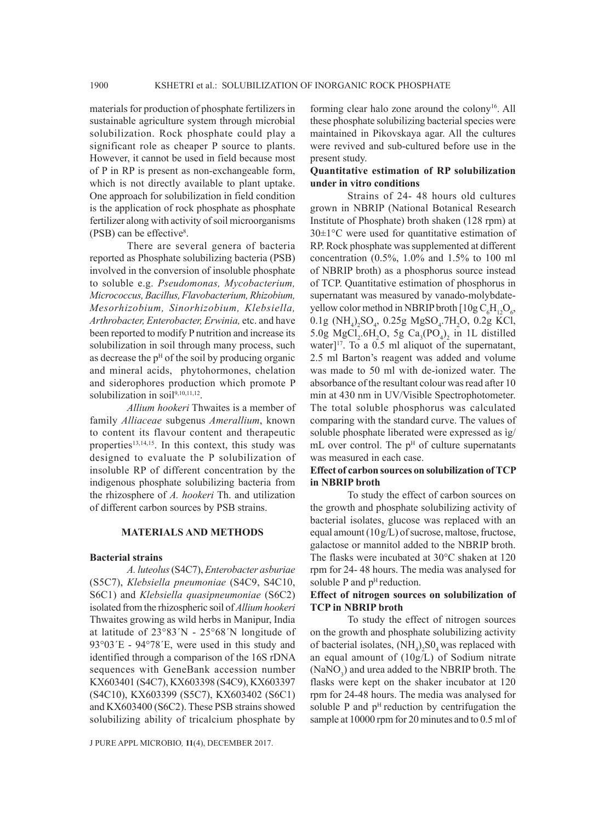materials for production of phosphate fertilizers in sustainable agriculture system through microbial solubilization. Rock phosphate could play a significant role as cheaper P source to plants. However, it cannot be used in field because most of P in RP is present as non-exchangeable form, which is not directly available to plant uptake. One approach for solubilization in field condition is the application of rock phosphate as phosphate fertilizer along with activity of soil microorganisms (PSB) can be effective8 .

There are several genera of bacteria reported as Phosphate solubilizing bacteria (PSB) involved in the conversion of insoluble phosphate to soluble e.g. *Pseudomonas, Mycobacterium, Micrococcus, Bacillus, Flavobacterium, Rhizobium, Mesorhizobium, Sinorhizobium, Klebsiella, Arthrobacter, Enterobacter, Erwinia,* etc. and have been reported to modify P nutrition and increase its solubilization in soil through many process, such as decrease the  $p<sup>H</sup>$  of the soil by producing organic and mineral acids, phytohormones, chelation and siderophores production which promote P solubilization in soil<sup>9,10,11,12</sup>.

*Allium hookeri* Thwaites is a member of family *Alliaceae* subgenus *Amerallium*, known to content its flavour content and therapeutic properties<sup>13,14,15</sup>. In this context, this study was designed to evaluate the P solubilization of insoluble RP of different concentration by the indigenous phosphate solubilizing bacteria from the rhizosphere of *A. hookeri* Th. and utilization of different carbon sources by PSB strains.

#### **MATERIALS AND METHODS**

#### **Bacterial strains**

*A. luteolus* (S4C7), *Enterobacter asburiae* (S5C7), *Klebsiella pneumoniae* (S4C9, S4C10, S6C1) and *Klebsiella quasipneumoniae* (S6C2) isolated from the rhizospheric soil of *Allium hookeri* Thwaites growing as wild herbs in Manipur, India at latitude of 23°83´N - 25°68´N longitude of 93°03´E - 94°78´E, were used in this study and identified through a comparison of the 16S rDNA sequences with GeneBank accession number KX603401 (S4C7), KX603398 (S4C9), KX603397 (S4C10), KX603399 (S5C7), KX603402 (S6C1) and KX603400 (S6C2). These PSB strains showed solubilizing ability of tricalcium phosphate by

J PURE APPL MICROBIO*,* **11**(4), DECEMBER 2017.

forming clear halo zone around the colony<sup>16</sup>. All these phosphate solubilizing bacterial species were maintained in Pikovskaya agar. All the cultures were revived and sub-cultured before use in the present study.

# **Quantitative estimation of RP solubilization under in vitro conditions**

Strains of 24- 48 hours old cultures grown in NBRIP (National Botanical Research Institute of Phosphate) broth shaken (128 rpm) at  $30\pm1\degree$ C were used for quantitative estimation of RP. Rock phosphate was supplemented at different concentration (0.5%, 1.0% and 1.5% to 100 ml of NBRIP broth) as a phosphorus source instead of TCP. Quantitative estimation of phosphorus in supernatant was measured by vanado-molybdateyellow color method in NBRIP broth  $[10g C_6H_{12}O_6,$  $0.1g$  (NH<sub>4</sub>)<sub>2</sub>SO<sub>4</sub>, 0.25g MgSO<sub>4</sub>.7H<sub>2</sub>O, 0.2g KCl, 5.0g MgCl<sub>2</sub>.6H<sub>2</sub>O, 5g Ca<sub>3</sub>(PO<sub>4</sub>)<sub>2</sub> in 1L distilled water] $17$ . To a 0.5 ml aliquot of the supernatant, 2.5 ml Barton's reagent was added and volume was made to 50 ml with de-ionized water. The absorbance of the resultant colour was read after 10 min at 430 nm in UV/Visible Spectrophotometer. The total soluble phosphorus was calculated comparing with the standard curve. The values of soluble phosphate liberated were expressed as ìg/ mL over control. The  $p<sup>H</sup>$  of culture supernatants was measured in each case.

## **Effect of carbon sources on solubilization of TCP in NBRIP broth**

To study the effect of carbon sources on the growth and phosphate solubilizing activity of bacterial isolates, glucose was replaced with an equal amount  $(10g/L)$  of sucrose, maltose, fructose, galactose or mannitol added to the NBRIP broth. The flasks were incubated at 30°C shaken at 120 rpm for 24- 48 hours. The media was analysed for soluble  $P$  and  $p<sup>H</sup>$  reduction.

#### **Effect of nitrogen sources on solubilization of TCP in NBRIP broth**

To study the effect of nitrogen sources on the growth and phosphate solubilizing activity of bacterial isolates,  $(NH_4)_2SO_4$  was replaced with an equal amount of (10g/L) of Sodium nitrate  $(NaNO<sub>3</sub>)$  and urea added to the NBRIP broth. The flasks were kept on the shaker incubator at 120 rpm for 24-48 hours. The media was analysed for soluble P and  $p<sup>H</sup>$  reduction by centrifugation the sample at 10000 rpm for 20 minutes and to 0.5 ml of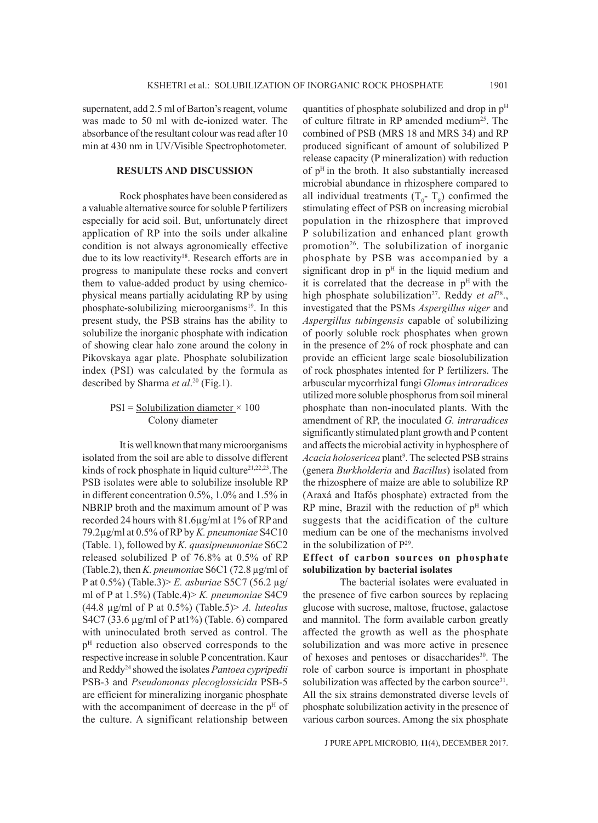supernatent, add 2.5 ml of Barton's reagent, volume was made to 50 ml with de-ionized water. The absorbance of the resultant colour was read after 10 min at 430 nm in UV/Visible Spectrophotometer.

#### **RESULTS AND DISCUSSION**

Rock phosphates have been considered as a valuable alternative source for soluble P fertilizers especially for acid soil. But, unfortunately direct application of RP into the soils under alkaline condition is not always agronomically effective due to its low reactivity<sup>18</sup>. Research efforts are in progress to manipulate these rocks and convert them to value-added product by using chemicophysical means partially acidulating RP by using phosphate-solubilizing microorganisms<sup>19</sup>. In this present study, the PSB strains has the ability to solubilize the inorganic phosphate with indication of showing clear halo zone around the colony in Pikovskaya agar plate. Phosphate solubilization index (PSI) was calculated by the formula as described by Sharma *et al*. 20 (Fig.1).

#### $PSI = Solubilization diameter \times 100$ Colony diameter

It is well known that many microorganisms isolated from the soil are able to dissolve different kinds of rock phosphate in liquid culture $21,22,23$ . The PSB isolates were able to solubilize insoluble RP in different concentration 0.5%, 1.0% and 1.5% in NBRIP broth and the maximum amount of P was recorded 24 hours with 81.6µg/ml at 1% of RP and 79.2µg/ml at 0.5% of RP by *K. pneumoniae* S4C10 (Table. 1), followed by *K. quasipneumoniae* S6C2 released solubilized P of 76.8% at 0.5% of RP (Table.2), then *K. pneumonia*e S6C1 (72.8 µg/ml of P at 0.5%) (Table.3)> *E. asburiae* S5C7 (56.2 µg/ ml of P at 1.5%) (Table.4)> *K. pneumoniae* S4C9 (44.8 µg/ml of P at 0.5%) (Table.5)> *A. luteolus* S4C7 (33.6 µg/ml of P at1%) (Table. 6) compared with uninoculated broth served as control. The p<sup>H</sup> reduction also observed corresponds to the respective increase in soluble P concentration. Kaur and Reddy24 showed the isolates *Pantoea cypripedii* PSB-3 and *Pseudomonas plecoglossicida* PSB-5 are efficient for mineralizing inorganic phosphate with the accompaniment of decrease in the  $p<sup>H</sup>$  of the culture. A significant relationship between

quantities of phosphate solubilized and drop in  $p<sup>H</sup>$ of culture filtrate in RP amended medium<sup>25</sup>. The combined of PSB (MRS 18 and MRS 34) and RP produced significant of amount of solubilized P release capacity (P mineralization) with reduction of  $p<sup>H</sup>$  in the broth. It also substantially increased microbial abundance in rhizosphere compared to all individual treatments  $(T_0 - T_8)$  confirmed the stimulating effect of PSB on increasing microbial population in the rhizosphere that improved P solubilization and enhanced plant growth promotion<sup>26</sup>. The solubilization of inorganic phosphate by PSB was accompanied by a significant drop in  $p<sup>H</sup>$  in the liquid medium and it is correlated that the decrease in  $p<sup>H</sup>$  with the high phosphate solubilization<sup>27</sup>. Reddy et al<sup>28</sup>., investigated that the PSMs *Aspergillus niger* and *Aspergillus tubingensis* capable of solubilizing of poorly soluble rock phosphates when grown in the presence of 2% of rock phosphate and can provide an efficient large scale biosolubilization of rock phosphates intented for P fertilizers. The arbuscular mycorrhizal fungi *Glomus intraradices* utilized more soluble phosphorus from soil mineral phosphate than non-inoculated plants. With the amendment of RP, the inoculated *G. intraradices*  significantly stimulated plant growth and P content and affects the microbial activity in hyphosphere of Acacia holosericea plant<sup>9</sup>. The selected PSB strains (genera *Burkholderia* and *Bacillus*) isolated from the rhizosphere of maize are able to solubilize RP (Araxá and Itafós phosphate) extracted from the RP mine, Brazil with the reduction of  $p<sup>H</sup>$  which suggests that the acidification of the culture medium can be one of the mechanisms involved in the solubilization of  $P^{29}$ .

#### **Effect of carbon sources on phosphate solubilization by bacterial isolates**

The bacterial isolates were evaluated in the presence of five carbon sources by replacing glucose with sucrose, maltose, fructose, galactose and mannitol. The form available carbon greatly affected the growth as well as the phosphate solubilization and was more active in presence of hexoses and pentoses or disaccharides<sup>30</sup>. The role of carbon source is important in phosphate solubilization was affected by the carbon source<sup>31</sup>. All the six strains demonstrated diverse levels of phosphate solubilization activity in the presence of various carbon sources. Among the six phosphate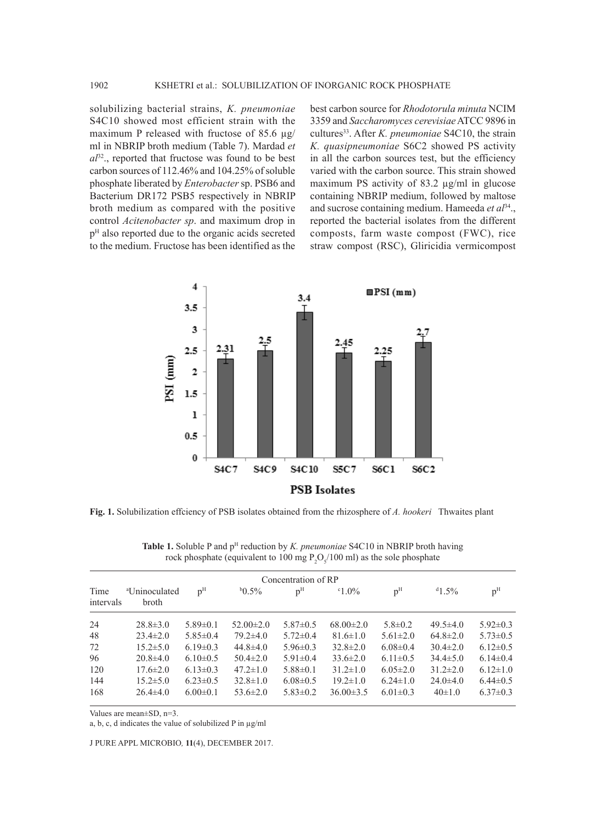solubilizing bacterial strains, *K. pneumoniae* S4C10 showed most efficient strain with the maximum P released with fructose of 85.6  $\mu$ g/ ml in NBRIP broth medium (Table 7). Mardad *et al*32., reported that fructose was found to be best carbon sources of 112.46% and 104.25% of soluble phosphate liberated by *Enterobacter* sp. PSB6 and Bacterium DR172 PSB5 respectively in NBRIP broth medium as compared with the positive control *Acitenobacter sp*. and maximum drop in pH also reported due to the organic acids secreted to the medium. Fructose has been identified as the

best carbon source for *Rhodotorula minuta* NCIM 3359 and *Saccharomyces cerevisiae* ATCC 9896 in cultures<sup>33</sup>. After *K. pneumoniae* S4C10, the strain *K. quasipneumoniae* S6C2 showed PS activity in all the carbon sources test, but the efficiency varied with the carbon source. This strain showed maximum PS activity of 83.2  $\mu$ g/ml in glucose containing NBRIP medium, followed by maltose and sucrose containing medium. Hameeda *et al*34., reported the bacterial isolates from the different composts, farm waste compost (FWC), rice straw compost (RSC), Gliricidia vermicompost



**Fig. 1.** Solubilization effciency of PSB isolates obtained from the rhizosphere of *A. hookeri* Thwaites plant

|                   | Concentration of RP                |                |                 |                |                 |                |                |                |  |  |
|-------------------|------------------------------------|----------------|-----------------|----------------|-----------------|----------------|----------------|----------------|--|--|
| Time<br>intervals | <sup>a</sup> Uninoculated<br>broth | p <sup>H</sup> | $b0.5\%$        | p <sup>H</sup> | $^{\circ}1.0\%$ | p <sup>H</sup> | $^{d}1.5\%$    | p <sup>H</sup> |  |  |
| 24                | $28.8 \pm 3.0$                     | $5.89 \pm 0.1$ | $52.00 \pm 2.0$ | $5.87 \pm 0.5$ | $68.00 \pm 2.0$ | $5.8 \pm 0.2$  | $49.5 \pm 4.0$ | $5.92 \pm 0.3$ |  |  |
| 48                | $23.4 \pm 2.0$                     | $5.85\pm0.4$   | $79.2 \pm 4.0$  | $5.72 \pm 0.4$ | $81.6 \pm 1.0$  | $5.61 \pm 2.0$ | $64.8 \pm 2.0$ | $5.73 \pm 0.5$ |  |  |
| 72                | $15.2 \pm 5.0$                     | $6.19 \pm 0.3$ | $44.8 \pm 4.0$  | $5.96 \pm 0.3$ | $32.8 \pm 2.0$  | $6.08 \pm 0.4$ | $30.4 \pm 2.0$ | $6.12 \pm 0.5$ |  |  |
| 96                | $20.8\pm4.0$                       | $6.10 \pm 0.5$ | $50.4 \pm 2.0$  | $5.91 \pm 0.4$ | $33.6 \pm 2.0$  | $6.11 \pm 0.5$ | $34.4 \pm 5.0$ | $6.14\pm0.4$   |  |  |
| 120               | $17.6 \pm 2.0$                     | $6.13 \pm 0.3$ | $47.2 \pm 1.0$  | $5.88 \pm 0.1$ | $31.2 \pm 1.0$  | $6.05 \pm 2.0$ | $31.2 \pm 2.0$ | $6.12 \pm 1.0$ |  |  |
| 144               | $15.2 \pm 5.0$                     | $6.23 \pm 0.5$ | $32.8 \pm 1.0$  | $6.08 \pm 0.5$ | $19.2 \pm 1.0$  | $6.24 \pm 1.0$ | $24.0 \pm 4.0$ | $6.44\pm0.5$   |  |  |
| 168               | $26.4 \pm 4.0$                     | $6.00 \pm 0.1$ | $53.6 \pm 2.0$  | $5.83 \pm 0.2$ | $36.00 \pm 3.5$ | $6.01 \pm 0.3$ | $40\pm1.0$     | $6.37\pm0.3$   |  |  |

**Table 1.** Soluble P and  $p<sup>H</sup>$  reduction by *K. pneumoniae* S4C10 in NBRIP broth having rock phosphate (equivalent to 100 mg  $P_2O_5/100$  ml) as the sole phosphate

Values are mean±SD, n=3.

a, b, c, d indicates the value of solubilized P in µg/ml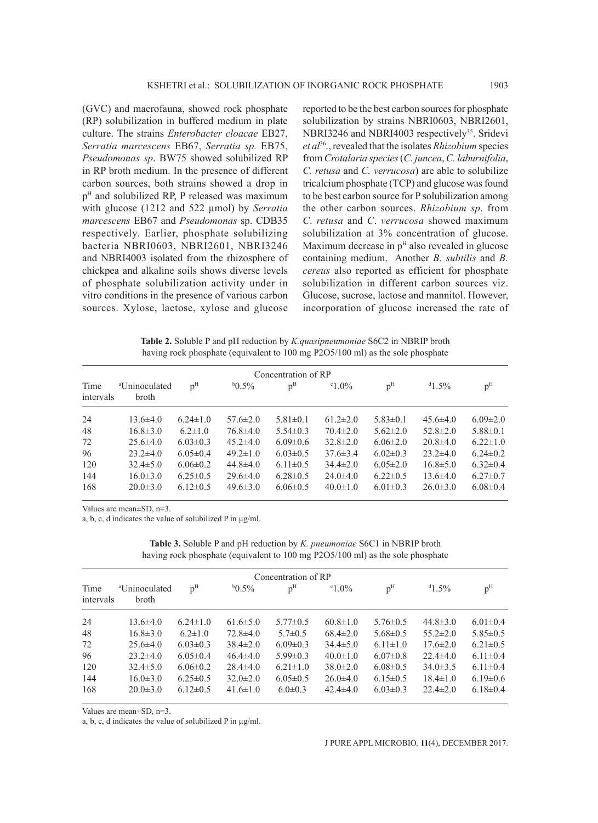(GVC) and macrofauna, showed rock phosphate (RP) solubilization in buffered medium in plate culture. The strains *Enterobacter cloacae* EB27, *Serratia marcescens* EB67, *Serratia sp.* EB75, *Pseudomonas sp*. BW75 showed solubilized RP in RP broth medium. In the presence of different carbon sources, both strains showed a drop in p<sup>H</sup> and solubilized RP, P released was maximum with glucose (1212 and 522 µmol) by *Serratia marcescens* EB67 and *Pseudomonas* sp. CDB35 respectively. Earlier, phosphate solubilizing bacteria NBRI0603, NBRI2601, NBRI3246 and NBRI4003 isolated from the rhizosphere of chickpea and alkaline soils shows diverse levels of phosphate solubilization activity under in vitro conditions in the presence of various carbon sources. Xylose, lactose, xylose and glucose

reported to be the best carbon sources for phosphate solubilization by strains NBRI0603, NBRI2601, NBRI3246 and NBRI4003 respectively<sup>35</sup>. Sridevi *et al*36., revealed that the isolates *Rhizobium* species from *Crotalaria species* (*C. juncea*, *C. laburnifolia*, *C. retusa* and *C. verrucosa*) are able to solubilize tricalcium phosphate (TCP) and glucose was found to be best carbon source for P solubilization among the other carbon sources. *Rhizobium sp*. from *C*. *retusa* and *C*. *verrucosa* showed maximum solubilization at 3% concentration of glucose. Maximum decrease in  $p<sup>H</sup>$  also revealed in glucose containing medium. Another *B. subtilis* and *B. cereus* also reported as efficient for phosphate solubilization in different carbon sources viz. Glucose, sucrose, lactose and mannitol. However, incorporation of glucose increased the rate of

**Table 2.** Soluble P and pH reduction by *K.quasipneumoniae* S6C2 in NBRIP broth having rock phosphate (equivalent to 100 mg P2O5/100 ml) as the sole phosphate

|                   |                                    |                |                | Concentration of RP |                 |                |                |                |
|-------------------|------------------------------------|----------------|----------------|---------------------|-----------------|----------------|----------------|----------------|
| Time<br>intervals | <sup>a</sup> Uninoculated<br>broth | p <sup>H</sup> | $^{b}0.5\%$    | p <sup>H</sup>      | $^{\circ}1.0\%$ | p <sup>H</sup> | $41.5\%$       | p <sup>H</sup> |
| 24                | $13.6\pm4.0$                       | $6.24 \pm 1.0$ | $57.6 \pm 2.0$ | $5.81 \pm 0.1$      | $61.2 \pm 2.0$  | $5.83\pm0.1$   | $45.6 \pm 4.0$ | $6.09 \pm 2.0$ |
| 48                | $16.8 \pm 3.0$                     | $6.2 \pm 1.0$  | $76.8 \pm 4.0$ | $5.54\pm0.3$        | $70.4 \pm 2.0$  | $5.62 \pm 2.0$ | $52.8 \pm 2.0$ | $5.88 \pm 0.1$ |
| 72                | $25.6\pm4.0$                       | $6.03\pm0.3$   | $45.2 \pm 4.0$ | $6.09 \pm 0.6$      | $32.8 \pm 2.0$  | $6.06 \pm 2.0$ | $20.8 \pm 4.0$ | $6.22 \pm 1.0$ |
| 96                | $23.2\pm4.0$                       | $6.05 \pm 0.4$ | $49.2 \pm 1.0$ | $6.03\pm0.5$        | $37.6 \pm 3.4$  | $6.02\pm0.3$   | $23.2 \pm 4.0$ | $6.24 \pm 0.2$ |
| 120               | $32.4 \pm 5.0$                     | $6.06 \pm 0.2$ | $44.8 \pm 4.0$ | $6.11 \pm 0.5$      | $34.4 \pm 2.0$  | $6.05 \pm 2.0$ | $16.8 \pm 5.0$ | $6.32 \pm 0.4$ |
| 144               | $16.0 \pm 3.0$                     | $6.25 \pm 0.5$ | $29.6 \pm 4.0$ | $6.28 \pm 0.5$      | $24.0 \pm 4.0$  | $6.22 \pm 0.5$ | $13.6\pm4.0$   | $6.27 \pm 0.7$ |
| 168               | $20.0 \pm 3.0$                     | $6.12 \pm 0.5$ | $49.6 \pm 3.0$ | $6.06\pm0.5$        | $40.0 \pm 1.0$  | $6.01 \pm 0.3$ | $26.0 \pm 3.0$ | $6.08 \pm 0.4$ |

Values are mean±SD, n=3.

a, b, c, d indicates the value of solubilized P in µg/ml.

**Table 3.** Soluble P and pH reduction by *K. pneumoniae* S6C1 in NBRIP broth having rock phosphate (equivalent to 100 mg P2O5/100 ml) as the sole phosphate

|                   |                                    |                |                | Concentration of RP |                 |                |                |                |
|-------------------|------------------------------------|----------------|----------------|---------------------|-----------------|----------------|----------------|----------------|
| Time<br>intervals | <sup>a</sup> Uninoculated<br>broth | p <sup>H</sup> | $b0.5\%$       | p <sup>H</sup>      | $^{\circ}1.0\%$ | p <sup>H</sup> | $^{d}1.5\%$    | p <sup>H</sup> |
| 24                | $13.6 \pm 4.0$                     | $6.24 \pm 1.0$ | $61.6 \pm 5.0$ | $5.77 \pm 0.5$      | $60.8 \pm 1.0$  | $5.76 \pm 0.5$ | $44.8 \pm 3.0$ | $6.01 \pm 0.4$ |
| 48                | $16.8 \pm 3.0$                     | $6.2 \pm 1.0$  | $72.8 \pm 4.0$ | $5.7 \pm 0.5$       | $68.4 \pm 2.0$  | $5.68 \pm 0.5$ | $55.2 \pm 2.0$ | $5.85 \pm 0.5$ |
| 72                | $25.6 \pm 4.0$                     | $6.03 \pm 0.3$ | $38.4 \pm 2.0$ | $6.09 \pm 0.3$      | $34.4 \pm 5.0$  | $6.11 \pm 1.0$ | $17.6 \pm 2.0$ | $6.21 \pm 0.5$ |
| 96                | $23.2\pm4.0$                       | $6.05 \pm 0.4$ | $46.4 \pm 4.0$ | $5.99 \pm 0.3$      | $40.0 \pm 1.0$  | $6.07 \pm 0.8$ | $22.4 \pm 4.0$ | $6.11 \pm 0.4$ |
| 120               | $32.4 \pm 5.0$                     | $6.06 \pm 0.2$ | $28.4 \pm 4.0$ | $6.21 \pm 1.0$      | $38.0 \pm 2.0$  | $6.08 \pm 0.5$ | $34.0 \pm 3.5$ | $6.11 \pm 0.4$ |
| 144               | $16.0 \pm 3.0$                     | $6.25 \pm 0.5$ | $32.0 \pm 2.0$ | $6.05 \pm 0.5$      | $26.0 \pm 4.0$  | $6.15 \pm 0.5$ | $18.4 \pm 1.0$ | $6.19 \pm 0.6$ |
| 168               | $20.0 \pm 3.0$                     | $6.12 \pm 0.5$ | $41.6 \pm 1.0$ | $6.0 \pm 0.3$       | $42.4 \pm 4.0$  | $6.03 \pm 0.3$ | $22.4 \pm 2.0$ | $6.18 \pm 0.4$ |

Values are mean±SD, n=3.

a, b, c, d indicates the value of solubilized P in µg/ml.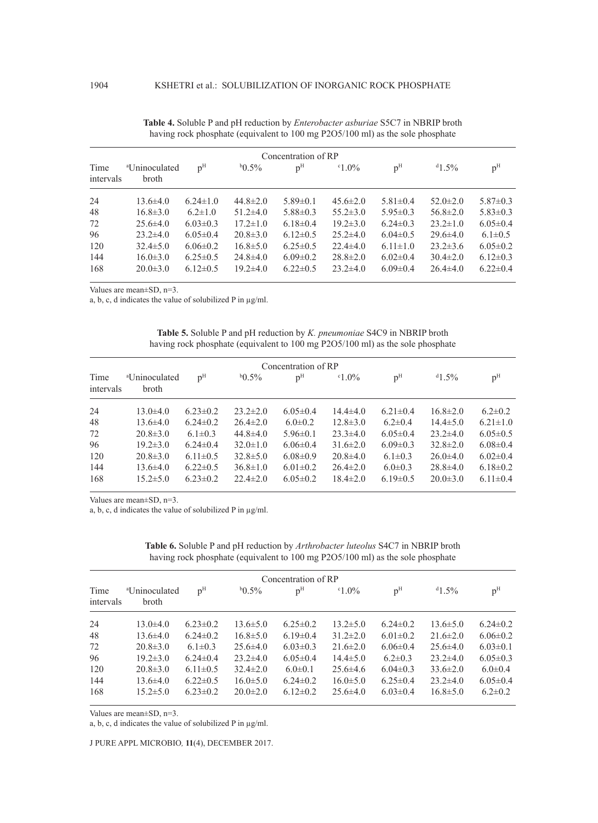|                   |                                    |                |                | Concentration of RP |                |                |                |                |
|-------------------|------------------------------------|----------------|----------------|---------------------|----------------|----------------|----------------|----------------|
| Time<br>intervals | <sup>a</sup> Uninoculated<br>broth | p <sup>H</sup> | $^{b}0.5\%$    | p <sup>H</sup>      | $0.0\%$        | p <sup>H</sup> | $41.5\%$       | p <sup>H</sup> |
| 24                | $13.6 \pm 4.0$                     | $6.24 \pm 1.0$ | $44.8 \pm 2.0$ | $5.89 \pm 0.1$      | $45.6 \pm 2.0$ | $5.81 \pm 0.4$ | $52.0 \pm 2.0$ | $5.87 \pm 0.3$ |
| 48                | $16.8 \pm 3.0$                     | $6.2 \pm 1.0$  | $51.2 \pm 4.0$ | $5.88 \pm 0.3$      | $55.2 \pm 3.0$ | $5.95 \pm 0.3$ | $56.8 \pm 2.0$ | $5.83 \pm 0.3$ |
| 72                | $25.6 \pm 4.0$                     | $6.03 \pm 0.3$ | $17.2 \pm 1.0$ | $6.18 \pm 0.4$      | $19.2 \pm 3.0$ | $6.24 \pm 0.3$ | $23.2 \pm 1.0$ | $6.05 \pm 0.4$ |
| 96                | $23.2 \pm 4.0$                     | $6.05 \pm 0.4$ | $20.8 \pm 3.0$ | $6.12\pm0.5$        | $25.2\pm4.0$   | $6.04\pm0.5$   | $29.6 \pm 4.0$ | $6.1 \pm 0.5$  |
| 120               | $32.4 \pm 5.0$                     | $6.06 \pm 0.2$ | $16.8 \pm 5.0$ | $6.25 \pm 0.5$      | $22.4 \pm 4.0$ | $6.11 \pm 1.0$ | $23.2 \pm 3.6$ | $6.05 \pm 0.2$ |
| 144               | $16.0 \pm 3.0$                     | $6.25 \pm 0.5$ | $24.8 \pm 4.0$ | $6.09 \pm 0.2$      | $28.8 \pm 2.0$ | $6.02 \pm 0.4$ | $30.4 \pm 2.0$ | $6.12 \pm 0.3$ |
| 168               | $20.0 \pm 3.0$                     | $6.12\pm0.5$   | $19.2 \pm 4.0$ | $6.22 \pm 0.5$      | $23.2\pm4.0$   | $6.09\pm0.4$   | $26.4\pm4.0$   | $6.22 \pm 0.4$ |

| <b>Table 4.</b> Soluble P and pH reduction by <i>Enterobacter asburiae</i> S5C7 in NBRIP broth |
|------------------------------------------------------------------------------------------------|
| having rock phosphate (equivalent to 100 mg P2O5/100 ml) as the sole phosphate                 |

Values are mean±SD, n=3.

a, b, c, d indicates the value of solubilized P in µg/ml.

| <b>Table 5.</b> Soluble P and pH reduction by <i>K. pneumoniae</i> S4C9 in NBRIP broth |  |
|----------------------------------------------------------------------------------------|--|
| having rock phosphate (equivalent to 100 mg P2O5/100 ml) as the sole phosphate         |  |

|                   |                                    |                |                | Concentration of RP |                 |                |                |                |
|-------------------|------------------------------------|----------------|----------------|---------------------|-----------------|----------------|----------------|----------------|
| Time<br>intervals | <sup>a</sup> Uninoculated<br>broth | p <sup>H</sup> | $b0.5\%$       | p <sup>H</sup>      | $^{\circ}1.0\%$ | p <sup>H</sup> | $^{d}1.5\%$    | p <sup>H</sup> |
| 24                | $13.0 \pm 4.0$                     | $6.23 \pm 0.2$ | $23.2 \pm 2.0$ | $6.05 \pm 0.4$      | $14.4 \pm 4.0$  | $6.21 \pm 0.4$ | $16.8 \pm 2.0$ | $6.2 \pm 0.2$  |
| 48                | $13.6\pm4.0$                       | $6.24 \pm 0.2$ | $26.4 \pm 2.0$ | $6.0 \pm 0.2$       | $12.8 \pm 3.0$  | $6.2 \pm 0.4$  | $14.4 \pm 5.0$ | $6.21 \pm 1.0$ |
| 72                | $20.8 \pm 3.0$                     | $6.1 \pm 0.3$  | $44.8 \pm 4.0$ | $5.96\pm0.1$        | $23.3 \pm 4.0$  | $6.05 \pm 0.4$ | $23.2\pm4.0$   | $6.05 \pm 0.5$ |
| 96                | $19.2 \pm 3.0$                     | $6.24 \pm 0.4$ | $32.0 \pm 1.0$ | $6.06 \pm 0.4$      | $31.6 \pm 2.0$  | $6.09\pm0.3$   | $32.8 \pm 2.0$ | $6.08 \pm 0.4$ |
| 120               | $20.8 \pm 3.0$                     | $6.11 \pm 0.5$ | $32.8 \pm 5.0$ | $6.08\pm0.9$        | $20.8 \pm 4.0$  | $6.1 \pm 0.3$  | $26.0\pm4.0$   | $6.02\pm0.4$   |
| 144               | $13.6 \pm 4.0$                     | $6.22 \pm 0.5$ | $36.8 \pm 1.0$ | $6.01 \pm 0.2$      | $26.4 \pm 2.0$  | $6.0 \pm 0.3$  | $28.8 \pm 4.0$ | $6.18 \pm 0.2$ |
| 168               | $15.2 \pm 5.0$                     | $6.23 \pm 0.2$ | $22.4 \pm 2.0$ | $6.05 \pm 0.2$      | $18.4 \pm 2.0$  | $6.19\pm0.5$   | $20.0 \pm 3.0$ | $6.11 \pm 0.4$ |

Values are mean±SD, n=3.

a, b, c, d indicates the value of solubilized P in µg/ml.

|                   |                                    |                |                | Concentration of RP |                 |                |                |                |
|-------------------|------------------------------------|----------------|----------------|---------------------|-----------------|----------------|----------------|----------------|
| Time<br>intervals | <sup>a</sup> Uninoculated<br>broth | p <sup>H</sup> | $^{b}0.5\%$    | p <sup>H</sup>      | $^{\circ}1.0\%$ | p <sup>H</sup> | $41.5\%$       | p <sup>H</sup> |
| 24                | $13.0\pm4.0$                       | $6.23 \pm 0.2$ | $13.6 \pm 5.0$ | $6.25 \pm 0.2$      | $13.2 \pm 5.0$  | $6.24 \pm 0.2$ | $13.6 \pm 5.0$ | $6.24 \pm 0.2$ |
| 48                | $13.6 \pm 4.0$                     | $6.24 \pm 0.2$ | $16.8 \pm 5.0$ | $6.19 \pm 0.4$      | $31.2 \pm 2.0$  | $6.01 \pm 0.2$ | $21.6 \pm 2.0$ | $6.06 \pm 0.2$ |
| 72                | $20.8 \pm 3.0$                     | $6.1 \pm 0.3$  | $25.6\pm4.0$   | $6.03 \pm 0.3$      | $21.6 \pm 2.0$  | $6.06 \pm 0.4$ | $25.6\pm4.0$   | $6.03 \pm 0.1$ |
| 96                | $19.2 \pm 3.0$                     | $6.24 \pm 0.4$ | $23.2 \pm 4.0$ | $6.05 \pm 0.4$      | $14.4 \pm 5.0$  | $6.2 \pm 0.3$  | $23.2\pm4.0$   | $6.05 \pm 0.3$ |
| 120               | $20.8 \pm 3.0$                     | $6.11 \pm 0.5$ | $32.4 \pm 2.0$ | $6.0 \pm 0.1$       | $25.6\pm4.6$    | $6.04\pm0.3$   | $33.6 \pm 2.0$ | $6.0 \pm 0.4$  |
| 144               | $13.6\pm4.0$                       | $6.22 \pm 0.5$ | $16.0 \pm 5.0$ | $6.24 \pm 0.2$      | $16.0 \pm 5.0$  | $6.25 \pm 0.4$ | $23.2\pm4.0$   | $6.05 \pm 0.4$ |
| 168               | $15.2 \pm 5.0$                     | $6.23 \pm 0.2$ | $20.0 \pm 2.0$ | $6.12 \pm 0.2$      | $25.6\pm4.0$    | $6.03 \pm 0.4$ | $16.8 \pm 5.0$ | $6.2 \pm 0.2$  |

**Table 6.** Soluble P and pH reduction by *Arthrobacter luteolus* S4C7 in NBRIP broth having rock phosphate (equivalent to 100 mg P2O5/100 ml) as the sole phosphate

Values are mean±SD, n=3.

a, b, c, d indicates the value of solubilized P in µg/ml.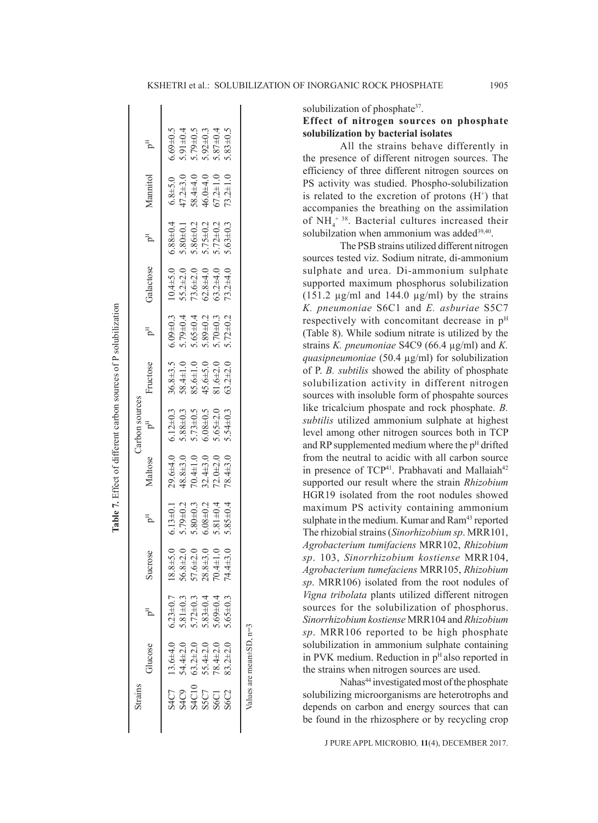$\mathbf{I}$ 

| Strains                                      |                                  |                                              |                                                                                                                         |                                                                                        |                                                                               | Carbon sources                                                                                           |                                                                                              |                                                                                                          |           |                                                                                                          |                                                                     |                                                                                        |
|----------------------------------------------|----------------------------------|----------------------------------------------|-------------------------------------------------------------------------------------------------------------------------|----------------------------------------------------------------------------------------|-------------------------------------------------------------------------------|----------------------------------------------------------------------------------------------------------|----------------------------------------------------------------------------------------------|----------------------------------------------------------------------------------------------------------|-----------|----------------------------------------------------------------------------------------------------------|---------------------------------------------------------------------|----------------------------------------------------------------------------------------|
|                                              | Glucose                          | Ъ                                            | Sucrose                                                                                                                 |                                                                                        | Maltose                                                                       | $p^{H}$                                                                                                  | Fructose                                                                                     |                                                                                                          | Galactose | $P^{\rm H}$                                                                                              | Mannitol                                                            | F<br>D                                                                                 |
| <b>S4C7</b>                                  | $13.6 + 4.0$                     | $6.23 \pm 0.7$                               |                                                                                                                         | $6.13 \pm 0.1$                                                                         | $29.6 + 4.0$                                                                  |                                                                                                          |                                                                                              |                                                                                                          |           |                                                                                                          |                                                                     | $5.69 \pm 0.5$                                                                         |
|                                              | $34.4 + 2.0$                     |                                              | $\begin{array}{c} 18.8\pm5.0\\ 36.8\pm2.0\\ 56.8\pm2.0\\ 70.6\pm2.0\\ 28.8\pm3.0\\ 70.4\pm1.0\\ 74.4\pm3.0 \end{array}$ | $5.79 \pm 0.2$<br>$5.80 \pm 0.3$<br>$6.08 \pm 0.2$<br>$5.81 \pm 0.4$<br>$5.85 \pm 0.4$ |                                                                               | $6.12 \pm 0.3$<br>$5.88 \pm 0.3$<br>$5.73 \pm 0.5$<br>$6.08 \pm 0.5$<br>$5.65 \pm 2.0$<br>$5.65 \pm 2.0$ | $36.8\pm3.5$<br>$58.4\pm1.0$<br>$85.6\pm1.0$<br>$45.6\pm5.0$<br>$41.6\pm2.0$<br>$81.6\pm2.0$ | $6.09 \pm 0.3$<br>$5.79 \pm 0.4$<br>$5.65 \pm 0.4$<br>$5.89 \pm 0.2$<br>$5.89 \pm 0.3$<br>$5.72 \pm 0.3$ |           | $6.88 \pm 0.4$<br>$5.80 \pm 0.1$<br>$5.86 \pm 0.2$<br>$5.75 \pm 0.2$<br>$5.72 \pm 0.2$<br>$5.72 \pm 0.3$ | 6.8±5.0<br>47.2±3.0<br>58.4±4.0<br>46.0±4.0<br>67.2±1.0<br>73.2±1.0 |                                                                                        |
| $3400$<br>$3400$<br>$3600$<br>$360$<br>$360$ |                                  | $5.81\pm0.3$<br>$5.72\pm0.3$<br>$5.83\pm0.4$ |                                                                                                                         |                                                                                        | $48.8\pm3.0$ $70.4\pm1.0$ $32.4\pm3.0$ $72.0\pm2.0$ $72.0\pm2.0$ $78.4\pm3.0$ |                                                                                                          |                                                                                              |                                                                                                          |           |                                                                                                          |                                                                     | $5.91 \pm 0.4$<br>$5.79 \pm 0.5$<br>$5.92 \pm 0.3$<br>$5.87 \pm 0.4$<br>$5.83 \pm 0.5$ |
|                                              |                                  |                                              |                                                                                                                         |                                                                                        |                                                                               |                                                                                                          |                                                                                              |                                                                                                          |           |                                                                                                          |                                                                     |                                                                                        |
|                                              | 63.2±2.0<br>55.4±2.0<br>78.4±2.0 | $5.69 \pm 0.4$                               |                                                                                                                         |                                                                                        |                                                                               |                                                                                                          |                                                                                              |                                                                                                          |           |                                                                                                          |                                                                     |                                                                                        |
|                                              | $33.2 \pm 2.0$                   | $65 \pm 0.3$                                 |                                                                                                                         |                                                                                        |                                                                               |                                                                                                          |                                                                                              |                                                                                                          |           |                                                                                                          |                                                                     |                                                                                        |
|                                              | Values are mean $\pm$ SD, $n=3$  |                                              |                                                                                                                         |                                                                                        |                                                                               |                                                                                                          |                                                                                              |                                                                                                          |           |                                                                                                          |                                                                     |                                                                                        |

**Table 7.** Effect of different carbon sources of P solubilization

Table 7. Effect of different carbon sources of P solubilization

 $\overline{\phantom{a}}$ 

 $\overline{\phantom{a}}$ 

solubilization of phosphate<sup>37</sup>.

# **Effect of nitrogen sources on phosphate solubilization by bacterial isolates**

All the strains behave differently in the presence of different nitrogen sources. The efficiency of three different nitrogen sources on PS activity was studied. Phospho-solubilization is related to the excretion of protons  $(H<sup>+</sup>)$  that accompanies the breathing on the assimilation of  $NH_4$ <sup>+38</sup>. Bacterial cultures increased their solubilzation when ammonium was added<sup>39,40</sup>.

The PSB strains utilized different nitrogen sources tested viz. Sodium nitrate, di-ammonium sulphate and urea. Di-ammonium sulphate supported maximum phosphorus solubilization (151.2  $\mu$ g/ml and 144.0  $\mu$ g/ml) by the strains *K. pneumoniae* S6C1 and *E. asburiae* S5C7 respectively with concomitant decrease in  $p<sup>H</sup>$ (Table 8). While sodium nitrate is utilized by the strains *K. pneumoniae* S4C9 (66.4 µg/ml) and *K. quasipneumoniae* (50.4 µg/ml) for solubilization of P. *B. subtilis* showed the ability of phosphate solubilization activity in different nitrogen sources with insoluble form of phospahte sources like tricalcium phospate and rock phosphate. *B. subtilis* utilized ammonium sulphate at highest level among other nitrogen sources both in TCP and RP supplemented medium where the p<sup>H</sup> drifted from the neutral to acidic with all carbon source in presence of TCP<sup>41</sup>. Prabhavati and Mallaiah<sup>42</sup> supported our result where the strain *Rhizobium*  HGR19 isolated from the root nodules showed maximum PS activity containing ammonium sulphate in the medium. Kumar and Ram<sup>43</sup> reported The rhizobial strains (*Sinorhizobium sp*. MRR101, *Agrobacterium tumifaciens* MRR102, *Rhizobium sp*. 103, *Sinorrhizobium kostiense* MRR104, *Agrobacterium tumefaciens* MRR105, *Rhizobium sp*. MRR106) isolated from the root nodules of *Vigna tribolata* plants utilized different nitrogen sources for the solubilization of phosphorus. *Sinorrhizobium kostiense* MRR104 and *Rhizobium sp*. MRR106 reported to be high phosphate solubilization in ammonium sulphate containing in PVK medium. Reduction in p<sup>H</sup> also reported in the strains when nitrogen sources are used.

Nahas<sup>44</sup> investigated most of the phosphate solubilizing microorganisms are heterotrophs and depends on carbon and energy sources that can be found in the rhizosphere or by recycling crop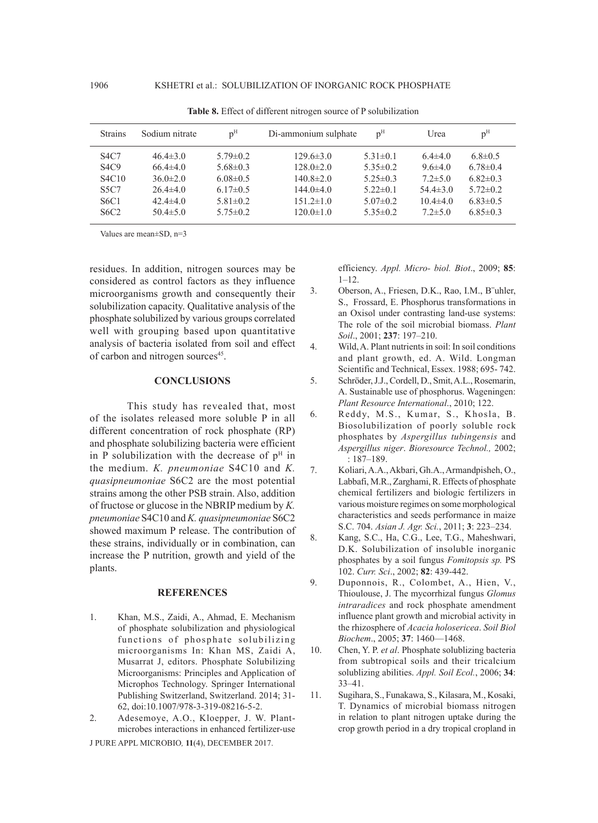| <b>Strains</b>                | Sodium nitrate | p <sup>H</sup> | Di-ammonium sulphate | p <sup>H</sup> | Urea           | p <sup>H</sup> |
|-------------------------------|----------------|----------------|----------------------|----------------|----------------|----------------|
| <b>S4C7</b>                   | $46.4 \pm 3.0$ | $5.79 \pm 0.2$ | $129.6 \pm 3.0$      | $5.31 \pm 0.1$ | $6.4\pm4.0$    | $6.8 \pm 0.5$  |
| S4C9                          | $66.4\pm4.0$   | $5.68\pm0.3$   | $128.0 \pm 2.0$      | $5.35\pm0.2$   | $9.6 \pm 4.0$  | $6.78 \pm 0.4$ |
| <b>S4C10</b>                  | $36.0 \pm 2.0$ | $6.08\pm0.5$   | $140.8 \pm 2.0$      | $5.25 \pm 0.3$ | $7.2 \pm 5.0$  | $6.82\pm0.3$   |
| <b>S5C7</b>                   | $26.4\pm4.0$   | $6.17\pm0.5$   | $144.0 \pm 4.0$      | $5.22 \pm 0.1$ | $54.4 \pm 3.0$ | $5.72 \pm 0.2$ |
| S <sub>6</sub> C <sub>1</sub> | $42.4 \pm 4.0$ | $5.81 \pm 0.2$ | $151.2 \pm 1.0$      | $5.07\pm0.2$   | $10.4 \pm 4.0$ | $6.83\pm0.5$   |
| S6C2                          | $50.4 \pm 5.0$ | $5.75 \pm 0.2$ | $120.0 \pm 1.0$      | $5.35\pm0.2$   | $7.2 \pm 5.0$  | $6.85\pm0.3$   |
|                               |                |                |                      |                |                |                |

**Table 8.** Effect of different nitrogen source of P solubilization

Values are mean±SD, n=3

residues. In addition, nitrogen sources may be considered as control factors as they influence microorganisms growth and consequently their solubilization capacity. Qualitative analysis of the phosphate solubilized by various groups correlated well with grouping based upon quantitative analysis of bacteria isolated from soil and effect of carbon and nitrogen sources<sup>45</sup>.

#### **CONCLUSIONS**

This study has revealed that, most of the isolates released more soluble P in all different concentration of rock phosphate (RP) and phosphate solubilizing bacteria were efficient in P solubilization with the decrease of  $p<sup>H</sup>$  in the medium. *K. pneumoniae* S4C10 and *K. quasipneumoniae* S6C2 are the most potential strains among the other PSB strain. Also, addition of fructose or glucose in the NBRIP medium by *K. pneumoniae* S4C10 and *K. quasipneumoniae* S6C2 showed maximum P release. The contribution of these strains, individually or in combination, can increase the P nutrition, growth and yield of the plants.

#### **REFERENCES**

1. Khan, M.S., Zaidi, A., Ahmad, E. Mechanism of phosphate solubilization and physiological functions of phosphate solubilizing microorganisms In: Khan MS, Zaidi A, Musarrat J, editors. Phosphate Solubilizing Microorganisms: Principles and Application of Microphos Technology. Springer International Publishing Switzerland, Switzerland. 2014; 31- 62, doi:10.1007/978-3-319-08216-5-2.

2. Adesemoye, A.O., Kloepper, J. W. Plantmicrobes interactions in enhanced fertilizer-use

J PURE APPL MICROBIO*,* **11**(4), DECEMBER 2017.

efficiency. *Appl. Micro- biol. Biot*., 2009; **85**: 1–12.

- 3. Oberson, A., Friesen, D.K., Rao, I.M., B¨uhler, S., Frossard, E. Phosphorus transformations in an Oxisol under contrasting land-use systems: The role of the soil microbial biomass. *Plant Soil*., 2001; **237**: 197–210.
- 4. Wild, A. Plant nutrients in soil: In soil conditions and plant growth, ed. A. Wild. Longman Scientific and Technical, Essex. 1988; 695- 742.
- 5. Schröder, J.J., Cordell, D., Smit, A.L., Rosemarin, A. Sustainable use of phosphorus. Wageningen: *Plant Resource International*., 2010; 122.
- 6. Reddy, M.S., Kumar, S., Khosla, B. Biosolubilization of poorly soluble rock phosphates by *Aspergillus tubingensis* and *Aspergillus niger*. *Bioresource Technol.,* 2002; **84**: 187–189.
- 7. Koliari, A.A., Akbari, Gh.A., Armandpisheh, O., Labbafi, M.R., Zarghami, R. Effects of phosphate chemical fertilizers and biologic fertilizers in various moisture regimes on some morphological characteristics and seeds performance in maize S.C. 704. *Asian J. Agr. Sci.*, 2011; **3**: 223–234.
- 8. Kang, S.C., Ha, C.G., Lee, T.G., Maheshwari, D.K. Solubilization of insoluble inorganic phosphates by a soil fungus *Fomitopsis sp.* PS 102. *Curr. Sci*., 2002; **82**: 439-442.
- 9. Duponnois, R., Colombet, A., Hien, V., Thioulouse, J. The mycorrhizal fungus *Glomus intraradices* and rock phosphate amendment influence plant growth and microbial activity in the rhizosphere of *Acacia holosericea*. *Soil Biol Biochem*., 2005; **37**: 1460—1468.
- 10. Chen, Y. P. *et al*. Phosphate solublizing bacteria from subtropical soils and their tricalcium solublizing abilities. *Appl. Soil Ecol.*, 2006; **34**: 33–41.
- 11. Sugihara, S., Funakawa, S., Kilasara, M., Kosaki, T. Dynamics of microbial biomass nitrogen in relation to plant nitrogen uptake during the crop growth period in a dry tropical cropland in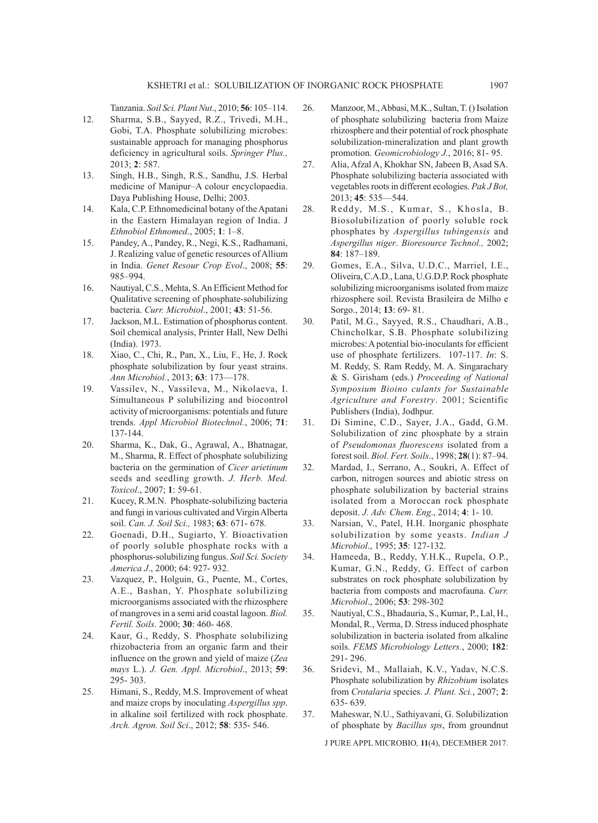Tanzania. *Soil Sci. Plant Nut*., 2010; **56**: 105–114.

- 12. Sharma, S.B., Sayyed, R.Z., Trivedi, M.H., Gobi, T.A. Phosphate solubilizing microbes: sustainable approach for managing phosphorus deficiency in agricultural soils. *Springer Plus.,*  2013; **2**: 587.
- 13. Singh, H.B., Singh, R.S., Sandhu, J.S. Herbal medicine of Manipur–A colour encyclopaedia. Daya Publishing House, Delhi; 2003.
- 14. Kala, C.P. Ethnomedicinal botany of the Apatani in the Eastern Himalayan region of India. J *Ethnobiol Ethnomed*., 2005; **1**: 1–8.
- 15. Pandey, A., Pandey, R., Negi, K.S., Radhamani, J. Realizing value of genetic resources of Allium in India. *Genet Resour Crop Evol*., 2008; **55**: 985–994.
- 16. Nautiyal, C.S., Mehta, S. An Efficient Method for Qualitative screening of phosphate-solubilizing bacteria. *Curr. Microbiol*., 2001; **43**: 51-56.
- 17. Jackson, M.L. Estimation of phosphorus content. Soil chemical analysis, Printer Hall, New Delhi (India). 1973.
- 18. Xiao, C., Chi, R., Pan, X., Liu, F., He, J. Rock phosphate solubilization by four yeast strains. *Ann Microbiol.*, 2013; **63**: 173—178.
- 19. Vassilev, N., Vassileva, M., Nikolaeva, I. Simultaneous P solubilizing and biocontrol activity of microorganisms: potentials and future trends. *Appl Microbiol Biotechnol.*, 2006; **71**: 137-144.
- 20. Sharma, K., Dak, G., Agrawal, A., Bhatnagar, M., Sharma, R. Effect of phosphate solubilizing bacteria on the germination of *Cicer arietinum*  seeds and seedling growth. *J. Herb. Med. Toxicol*., 2007; **1**: 59-61.
- 21. Kucey, R.M.N. Phosphate-solubilizing bacteria and fungi in various cultivated and Virgin Alberta soil. *Can. J. Soil Sci.,* 1983; **63**: 671- 678.
- 22. Goenadi, D.H., Sugiarto, Y. Bioactivation of poorly soluble phosphate rocks with a phosphorus-solubilizing fungus. *Soil Sci. Society America J*., 2000; 64: 927- 932.
- 23. Vazquez, P., Holguin, G., Puente, M., Cortes, A.E., Bashan, Y. Phosphate solubilizing microorganisms associated with the rhizosphere of mangroves in a semi arid coastal lagoon. *Biol. Fertil. Soils*. 2000; **30**: 460- 468.
- 24. Kaur, G., Reddy, S. Phosphate solubilizing rhizobacteria from an organic farm and their influence on the grown and yield of maize (*Zea mays* L.). *J. Gen. Appl. Microbiol*., 2013; **59**: 295- 303.
- 25. Himani, S., Reddy, M.S. Improvement of wheat and maize crops by inoculating *Aspergillus spp*. in alkaline soil fertilized with rock phosphate. *Arch. Agron. Soil Sci*., 2012; **58**: 535- 546.
- 26. Manzoor, M., Abbasi, M.K., Sultan, T. () Isolation of phosphate solubilizing bacteria from Maize rhizosphere and their potential of rock phosphate solubilization-mineralization and plant growth promotion. *Geomicrobiology J.*, 2016; 81- 95.
- 27. Alia, Afzal A, Khokhar SN, Jabeen B, Asad SA. Phosphate solubilizing bacteria associated with vegetables roots in different ecologies. *Pak J Bot,*  2013; **45**: 535—544.
- 28. Reddy, M.S., Kumar, S., Khosla, B. Biosolubilization of poorly soluble rock phosphates by *Aspergillus tubingensis* and *Aspergillus niger*. *Bioresource Technol.,* 2002; **84**: 187–189.
- 29. Gomes, E.A., Silva, U.D.C., Marriel, I.E., Oliveira, C.A.D., Lana, U.G.D.P. Rock phosphate solubilizing microorganisms isolated from maize rhizosphere soil. Revista Brasileira de Milho e Sorgo., 2014; **13**: 69- 81.
- 30. Patil, M.G., Sayyed, R.S., Chaudhari, A.B., Chincholkar, S.B. Phosphate solubilizing microbes: A potential bio-inoculants for efficient use of phosphate fertilizers. 107-117. *In*: S. M. Reddy, S. Ram Reddy, M. A. Singarachary & S. Girisham (eds.) *Proceeding of National Symposium Bioino culants for Sustainable Agriculture and Forestry*. 2001; Scientific Publishers (India), Jodhpur.
- 31. Di Simine, C.D., Sayer, J.A., Gadd, G.M. Solubilization of zinc phosphate by a strain of *Pseudomonas fluorescens* isolated from a forest soil. *Biol. Fert. Soils*., 1998; **28**(1): 87–94.
- 32. Mardad, I., Serrano, A., Soukri, A. Effect of carbon, nitrogen sources and abiotic stress on phosphate solubilization by bacterial strains isolated from a Moroccan rock phosphate deposit. *J. Adv. Chem*. *Eng*., 2014; **4**: 1- 10.
- 33. Narsian, V., Patel, H.H. Inorganic phosphate solubilization by some yeasts. *Indian J Microbiol*., 1995; **35**: 127-132.
- 34. Hameeda, B., Reddy, Y.H.K., Rupela, O.P., Kumar, G.N., Reddy, G. Effect of carbon substrates on rock phosphate solubilization by bacteria from composts and macrofauna. *Curr. Microbiol*., 2006; **53**: 298-302
- 35. Nautiyal, C.S., Bhadauria, S., Kumar, P., Lal, H., Mondal, R., Verma, D. Stress induced phosphate solubilization in bacteria isolated from alkaline soils. *FEMS Microbiology Letters.*, 2000; **182**: 291- 296.
- 36. Sridevi, M., Mallaiah, K.V., Yadav, N.C.S. Phosphate solubilization by *Rhizobium* isolates from *Crotalaria* species. *J. Plant. Sci.*, 2007; **2**: 635- 639.
- 37. Maheswar, N.U., Sathiyavani, G. Solubilization of phosphate by *Bacillus sps*, from groundnut